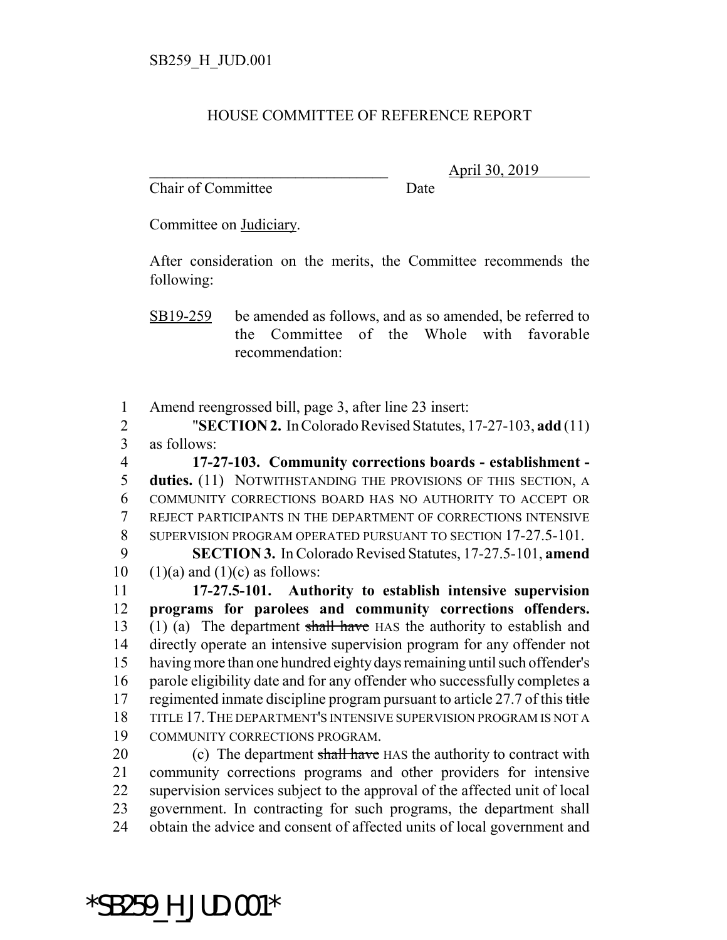## HOUSE COMMITTEE OF REFERENCE REPORT

Chair of Committee Date

\_\_\_\_\_\_\_\_\_\_\_\_\_\_\_\_\_\_\_\_\_\_\_\_\_\_\_\_\_\_\_ April 30, 2019

Committee on Judiciary.

After consideration on the merits, the Committee recommends the following:

SB19-259 be amended as follows, and as so amended, be referred to the Committee of the Whole with favorable recommendation:

1 Amend reengrossed bill, page 3, after line 23 insert:

2 "**SECTION 2.** In Colorado Revised Statutes, 17-27-103, **add** (11) 3 as follows:

 **17-27-103. Community corrections boards - establishment - duties.** (11) NOTWITHSTANDING THE PROVISIONS OF THIS SECTION, A COMMUNITY CORRECTIONS BOARD HAS NO AUTHORITY TO ACCEPT OR REJECT PARTICIPANTS IN THE DEPARTMENT OF CORRECTIONS INTENSIVE SUPERVISION PROGRAM OPERATED PURSUANT TO SECTION 17-27.5-101.

9 **SECTION 3.** In Colorado Revised Statutes, 17-27.5-101, **amend** 10  $(1)(a)$  and  $(1)(c)$  as follows:

 **17-27.5-101. Authority to establish intensive supervision programs for parolees and community corrections offenders.** (1) (a) The department shall have HAS the authority to establish and directly operate an intensive supervision program for any offender not having more than one hundred eighty days remaining until such offender's parole eligibility date and for any offender who successfully completes a 17 regimented inmate discipline program pursuant to article 27.7 of this title TITLE 17.THE DEPARTMENT'S INTENSIVE SUPERVISION PROGRAM IS NOT A COMMUNITY CORRECTIONS PROGRAM.

20 (c) The department shall have HAS the authority to contract with community corrections programs and other providers for intensive supervision services subject to the approval of the affected unit of local government. In contracting for such programs, the department shall obtain the advice and consent of affected units of local government and

\*SB259\_H\_JUD.001\*